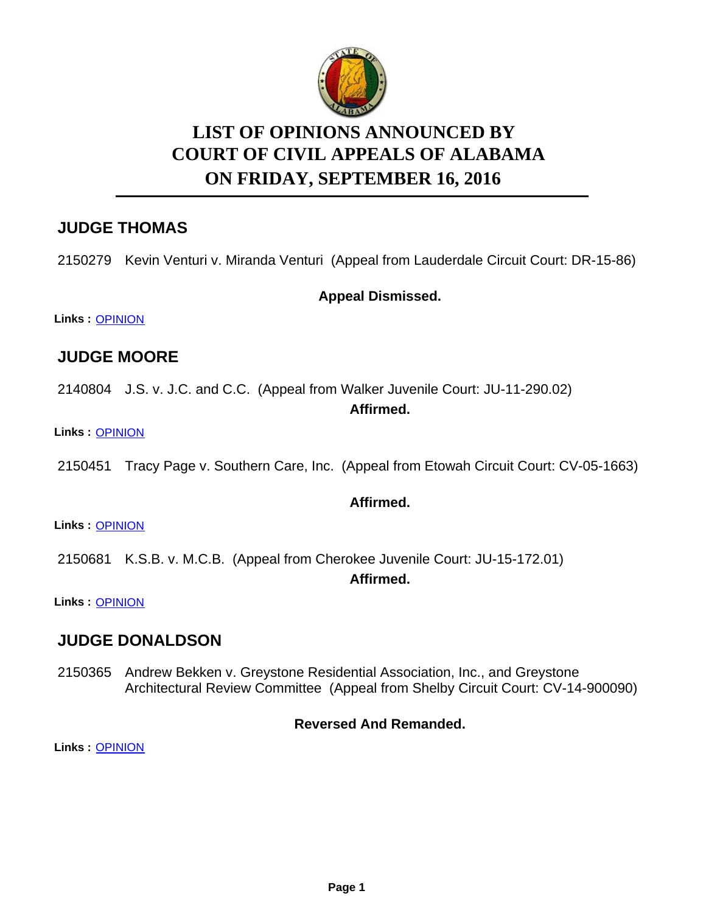

# **LIST OF OPINIONS ANNOUNCED BY ON FRIDAY, SEPTEMBER 16, 2016 COURT OF CIVIL APPEALS OF ALABAMA**

# **JUDGE THOMAS**

2150279 Kevin Venturi v. Miranda Venturi (Appeal from Lauderdale Circuit Court: DR-15-86)

## **Appeal Dismissed.**

**Links :** [OPINION](https://acis.alabama.gov/displaydocs.cfm?no=759776&event=4QC0L8B0H)

# **JUDGE MOORE**

2140804 J.S. v. J.C. and C.C. (Appeal from Walker Juvenile Court: JU-11-290.02)

### **Affirmed.**

**Links :** [OPINION](https://acis.alabama.gov/displaydocs.cfm?no=759775&event=4QC0L8ANX)

2150451 Tracy Page v. Southern Care, Inc. (Appeal from Etowah Circuit Court: CV-05-1663)

## **Affirmed.**

**Links :** [OPINION](https://acis.alabama.gov/displaydocs.cfm?no=759780&event=4QC0L8BRD)

2150681 K.S.B. v. M.C.B. (Appeal from Cherokee Juvenile Court: JU-15-172.01)

**Affirmed.**

**Links :** [OPINION](https://acis.alabama.gov/displaydocs.cfm?no=759782&event=4QC0L8C4D)

## **JUDGE DONALDSON**

2150365 Andrew Bekken v. Greystone Residential Association, Inc., and Greystone Architectural Review Committee (Appeal from Shelby Circuit Court: CV-14-900090)

## **Reversed And Remanded.**

**Links :** [OPINION](https://acis.alabama.gov/displaydocs.cfm?no=759778&event=4QC0L8BDX)